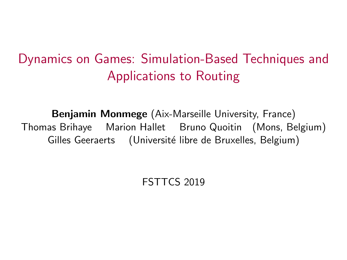# <span id="page-0-0"></span>Dynamics on Games: Simulation-Based Techniques and Applications to Routing

Benjamin Monmege (Aix-Marseille University, France) Thomas Brihaye Marion Hallet Bruno Quoitin (Mons, Belgium) Gilles Geeraerts (Université libre de Bruxelles, Belgium)

FSTTCS 2019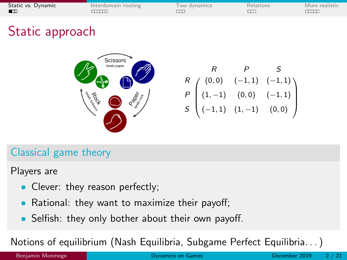<span id="page-1-0"></span>

| Static vs. Dynamic | Interdomain routing | wo dynamics | Relations | More realistic |
|--------------------|---------------------|-------------|-----------|----------------|
|                    |                     |             |           |                |

# Static approach



|  | $\begin{pmatrix} R & (0,0) & (-1,1) & (-1,1) \\ (1,-1) & (0,0) & (-1,1) \\ (-1,1) & (1,-1) & (0,0) \end{pmatrix}$ |
|--|-------------------------------------------------------------------------------------------------------------------|

### Classical game theory

Players are

- Clever: they reason perfectly;
- Rational: they want to maximize their payoff;
- Selfish: they only bother about their own payoff.

Notions of equilibrium (Nash Equilibria, Subgame Perfect Equilibria. . . )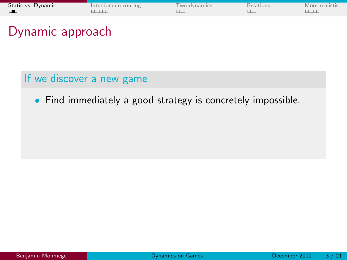| Static vs. Dynamic | Interdomain routing | wo dynamics | Relations | More realistic |
|--------------------|---------------------|-------------|-----------|----------------|
| ПT                 |                     |             |           |                |

### If we discover a new game

• Find immediately a good strategy is concretely impossible.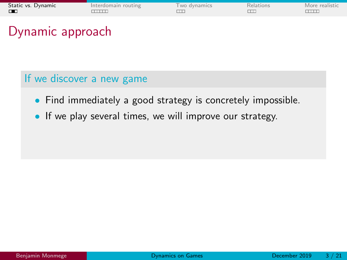| Static vs. Dynamic | Interdomain routing | wo dynamics | Relations | More realistic |
|--------------------|---------------------|-------------|-----------|----------------|
| ПT                 |                     |             |           |                |

- Find immediately a good strategy is concretely impossible.
- If we play several times, we will improve our strategy.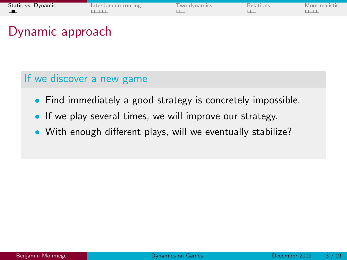| Static vs. Dynamic | Interdomain routing | wo dynamics | Relations | More realistic |
|--------------------|---------------------|-------------|-----------|----------------|
| ПT                 |                     |             |           |                |

- Find immediately a good strategy is concretely impossible.
- If we play several times, we will improve our strategy.
- With enough different plays, will we eventually stabilize?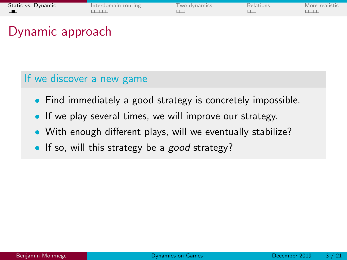| Static vs. Dynamic | Interdomain routing | wo dynamics | Relations | More realistic |
|--------------------|---------------------|-------------|-----------|----------------|
| ПT                 |                     |             |           |                |

- Find immediately a good strategy is concretely impossible.
- If we play several times, we will improve our strategy.
- With enough different plays, will we eventually stabilize?
- If so, will this strategy be a *good* strategy?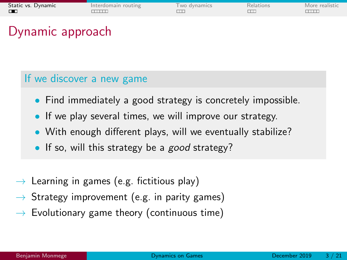| Static vs. Dynamic | Interdomain routing | wo dynamics | Relations | More realistic |
|--------------------|---------------------|-------------|-----------|----------------|
| ПT                 |                     |             |           |                |

- Find immediately a good strategy is concretely impossible.
- If we play several times, we will improve our strategy.
- With enough different plays, will we eventually stabilize?
- If so, will this strategy be a *good* strategy?
- $\rightarrow$  Learning in games (e.g. fictitious play)
- $\rightarrow$  Strategy improvement (e.g. in parity games)
- $\rightarrow$  Evolutionary game theory (continuous time)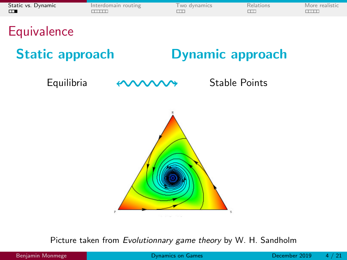| Static vs. Dynamic | Interdomain routing | wo dynamics | Relations | More realistic |
|--------------------|---------------------|-------------|-----------|----------------|
| $\Box$             |                     |             |           |                |

**Equivalence** 

Static approach **Dynamic approach** 

Equilibria <**WWWW** Stable Points



Picture taken from Evolutionnary game theory by W. H. Sandholm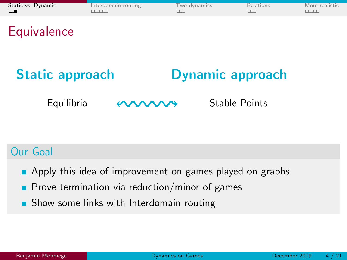| Static vs. Dynamic | Interdomain routing | <b>Two dynamics</b> | Relations | More realistic |
|--------------------|---------------------|---------------------|-----------|----------------|
| $\blacksquare$     |                     |                     |           |                |

**Equivalence** 

# Static approach Dynamic approach

Equilibria  $\longleftrightarrow$  Stable Points

### Our Goal

- **Apply this idea of improvement on games played on graphs**
- **Prove termination via reduction/minor of games**
- **Show some links with Interdomain routing**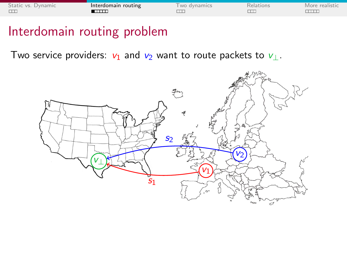<span id="page-9-0"></span>

| Static vs. Dynamic | Interdomain routing | wo dynamics | Relations | More realistic |
|--------------------|---------------------|-------------|-----------|----------------|
|                    | ┎┰┰┰┰               |             |           |                |

### Interdomain routing problem

Two service providers:  $v_1$  and  $v_2$  want to route packets to  $v_\perp$ .

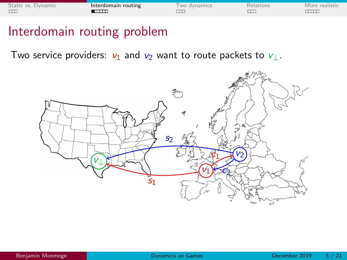| Static vs. Dynamic | Interdomain routing | wo dynamics | Relations | More realistic |
|--------------------|---------------------|-------------|-----------|----------------|
|                    | ┎┰┰┰┰               |             |           |                |

### Interdomain routing problem

Two service providers:  $v_1$  and  $v_2$  want to route packets to  $v_\perp$ .

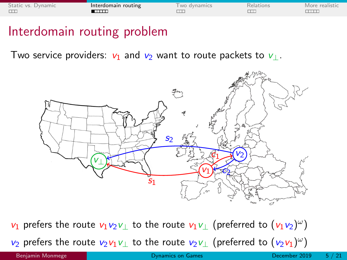| Static vs. Dynamic | Interdomain routing | wo dynamics | Relations | More realistic |
|--------------------|---------------------|-------------|-----------|----------------|
|                    | ┎┰┰┰┰               |             |           |                |

### Interdomain routing problem

Two service providers:  $v_1$  and  $v_2$  want to route packets to  $v_1$ .



 $v_1$  prefers the route  $v_1v_2v_\perp$  to the route  $v_1v_\perp$  (preferred to  $(v_1v_2)^\omega$ )  $v_2$  prefers the route  $v_2v_1v_$  to the route  $v_2v_$  (preferred to  $(v_2v_1)^\omega$ )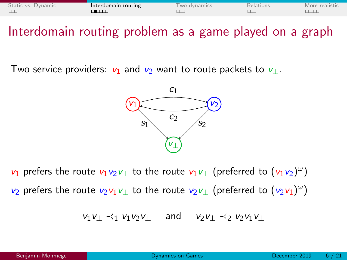| Static vs. Dynamic | Interdomain routing | wo dynamics | Relations | More realistic |
|--------------------|---------------------|-------------|-----------|----------------|
|                    | ┲┲┲╤                |             |           |                |

Interdomain routing problem as a game played on a graph

Two service providers:  $v_1$  and  $v_2$  want to route packets to  $v_1$ .



 $v_1$  prefers the route  $v_1v_2v_$  to the route  $v_1v_$  (preferred to  $(v_1v_2)^\omega$ )  $v_2$  prefers the route  $v_2v_1v_$  to the route  $v_2v_$  (preferred to  $(v_2v_1)^\omega$ )

$$
v_1v_\perp\prec_1 v_1v_2v_\perp\quad\text{and}\quad v_2v_\perp\prec_2 v_2v_1v_\perp
$$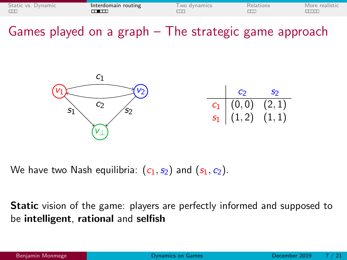| Static vs. Dynamic | Interdomain routing | wo dynamics | <b>Relations</b> | More realistic |
|--------------------|---------------------|-------------|------------------|----------------|
|                    | ┰┲┯┯                |             |                  |                |

Games played on a graph – The strategic game approach



We have two Nash equilibria:  $(c_1, s_2)$  and  $(s_1, c_2)$ .

**Static** vision of the game: players are perfectly informed and supposed to be intelligent, rational and selfish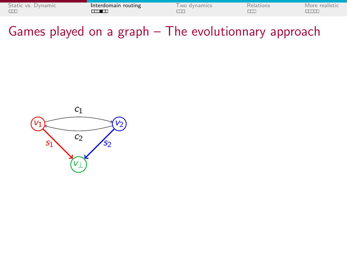| Static vs. Dynamic | Interdomain routing | wo dynamics | Relations | More realistic |
|--------------------|---------------------|-------------|-----------|----------------|
|                    |                     |             |           |                |

Games played on a graph – The evolutionnary approach

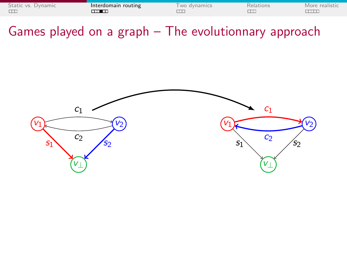| Static vs. Dynamic | Interdomain routing | wo dynamics | Relations | More realistic |
|--------------------|---------------------|-------------|-----------|----------------|
|                    |                     |             |           |                |

Games played on a graph – The evolutionnary approach

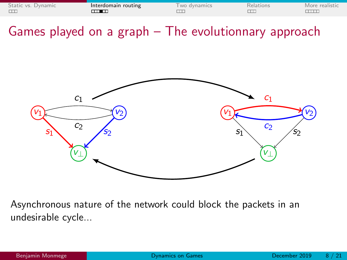| Static vs. Dynamic | Interdomain routing | wo dynamics | Relations | More realistic |
|--------------------|---------------------|-------------|-----------|----------------|
|                    |                     |             |           |                |

Games played on a graph – The evolutionnary approach



Asynchronous nature of the network could block the packets in an undesirable cycle...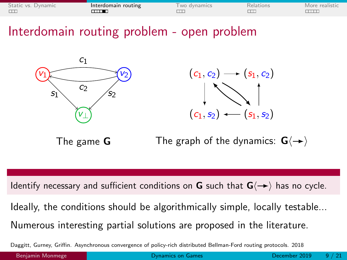| Static vs. Dynamic | Interdomain routing | wo dynamics | Relations | More realistic. |
|--------------------|---------------------|-------------|-----------|-----------------|
|                    | <b>____</b>         |             |           |                 |

Interdomain routing problem - open problem





The game G



Identify necessary and sufficient conditions on **G** such that  $G(\rightarrow)$  has no cycle.

Ideally, the conditions should be algorithmically simple, locally testable...

Numerous interesting partial solutions are proposed in the literature.

Daggitt, Gurney, Griffin. Asynchronous convergence of policy-rich distributed Bellman-Ford routing protocols. 2018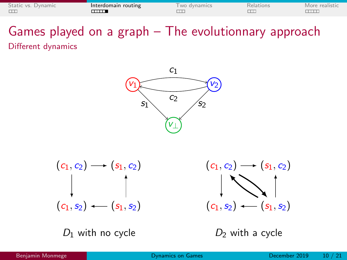| Static vs. Dynamic | Interdomain routing | wo dynamics | Relations | More realistic |
|--------------------|---------------------|-------------|-----------|----------------|
|                    | m                   |             |           |                |

### Games played on a graph – The evolutionnary approach Different dynamics



$$
(c_1, c_2) \longrightarrow (s_1, c_2)
$$
\n
$$
\downarrow \qquad \qquad \downarrow
$$
\n
$$
(c_1, s_2) \longleftarrow (s_1, s_2)
$$

 $D_1$  with no cycle

 $(c_1, c_2) \rightarrow (s_1, c_2)$  $(c_1, s_2)$  (s<sub>1, s2</sub>)

 $D_2$  with a cycle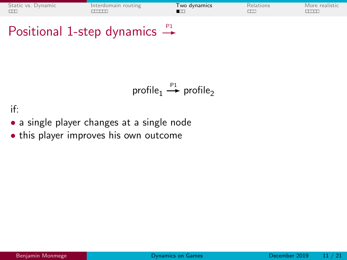<span id="page-19-0"></span>

| Static vs. Dynamic | Interdomain routing | Two dynamics | Relations | More realistic |
|--------------------|---------------------|--------------|-----------|----------------|
|                    |                     |              |           |                |

# Positional 1-step dynamics  $\stackrel{p_1}{\rightarrow}$

profile<sub>1</sub>  $\stackrel{p_1}{\longrightarrow}$  profile<sub>2</sub>

if:

- a single player changes at a single node
- this player improves his own outcome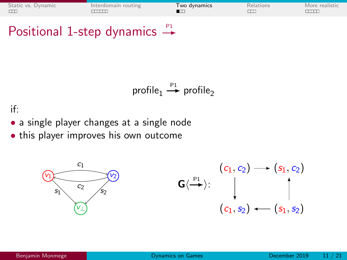| Static vs. Dynamic | Interdomain routing | Two dvnamics | Relations | More realistic |
|--------------------|---------------------|--------------|-----------|----------------|
|                    |                     |              |           |                |

## Positional 1-step dynamics  $\rightarrow$

$$
profile_1 \stackrel{P1}{\rightarrow} profile_2
$$

if:

- a single player changes at a single node
- this player improves his own outcome

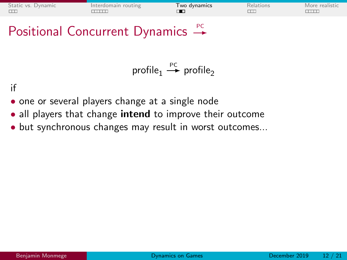| Static vs. Dynamic | Interdomain routing | I wo dynamics | Relations | More realistic |
|--------------------|---------------------|---------------|-----------|----------------|
|                    |                     |               |           |                |

## Positional Concurrent Dynamics  $\stackrel{PC}{\rightarrow}$

$$
\text{profile}_1 \stackrel{\text{PC}}{\longrightarrow} \text{profile}_2
$$

if

- one or several players change at a single node
- all players that change **intend** to improve their outcome
- but synchronous changes may result in worst outcomes...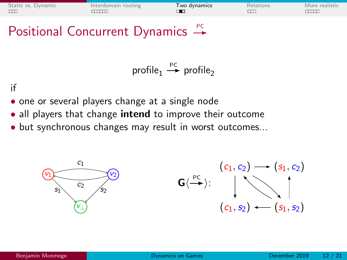| Static vs. Dynamic | Interdomain routing | Two dynamics | Relations | More realistic |
|--------------------|---------------------|--------------|-----------|----------------|
|                    |                     |              |           |                |

## Positional Concurrent Dynamics  $\stackrel{PC}{\rightarrow}$

$$
\text{profile}_1 \stackrel{\text{PC}}{\longrightarrow} \text{profile}_2
$$

if

- one or several players change at a single node
- all players that change **intend** to improve their outcome
- but synchronous changes may result in worst outcomes...

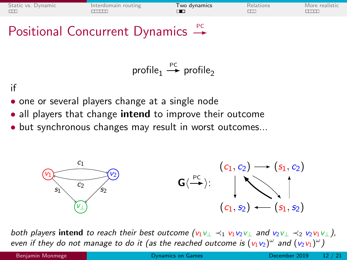| Static vs. Dynamic | Interdomain routing | Two dynamics | Relation | More realistic |
|--------------------|---------------------|--------------|----------|----------------|
|                    |                     |              |          |                |
|                    |                     |              |          |                |

## Positional Concurrent Dynamics  $\stackrel{PC}{\rightarrow}$

$$
\text{profile}_1 \stackrel{\text{PC}}{\longrightarrow} \text{profile}_2
$$

if

- one or several players change at a single node
- all players that change intend to improve their outcome
- but synchronous changes may result in worst outcomes...



both players intend to reach their best outcome  $(v_1v_\perp \prec_1 v_1v_2v_\perp$  and  $v_2v_\perp \prec_2 v_2v_1v_\perp$ ), even if they do not manage to do it (as the reached outcome is  $(v_1v_2)^\omega$  and  $(v_2v_1)^\omega$  )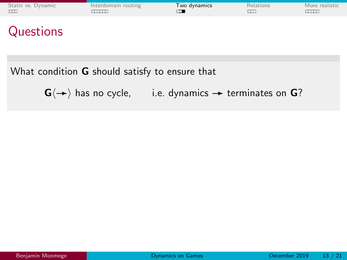| Static vs. Dynamic | Interdomain routing | I wo dynamics | Relations | More realistic |
|--------------------|---------------------|---------------|-----------|----------------|
|                    |                     |               |           |                |

## **Questions**

#### What condition **G** should satisfy to ensure that

 $G\langle \rightarrow \rangle$  has no cycle, i.e. dynamics  $\rightarrow$  terminates on G?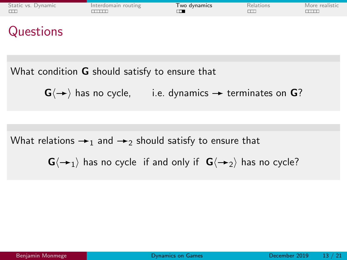|  | Static vs. Dynamic | Interdomain routing | I wo dynamics | Relations | More realistic |
|--|--------------------|---------------------|---------------|-----------|----------------|
|--|--------------------|---------------------|---------------|-----------|----------------|

## **Questions**

What condition **G** should satisfy to ensure that

 $G(\rightarrow)$  has no cycle, i.e. dynamics  $\rightarrow$  terminates on G?

What relations  $\rightarrow_1$  and  $\rightarrow_2$  should satisfy to ensure that

 $G\langle \rightarrow_1 \rangle$  has no cycle if and only if  $G\langle \rightarrow_2 \rangle$  has no cycle?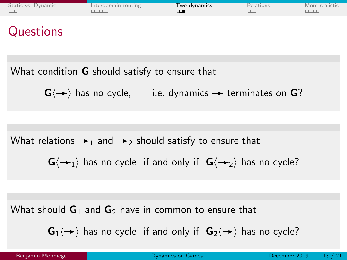| Static vs. Dynamic | Interdomain routing | I wo dynamics | Kelations | More realistic |
|--------------------|---------------------|---------------|-----------|----------------|
|                    |                     |               |           |                |

## **Questions**

What condition **G** should satisfy to ensure that

 $G\langle \rightarrow \rangle$  has no cycle, i.e. dynamics  $\rightarrow$  terminates on G?

What relations  $\rightarrow_1$  and  $\rightarrow_2$  should satisfy to ensure that

 $G\langle \rightarrow_1 \rangle$  has no cycle if and only if  $G\langle \rightarrow_2 \rangle$  has no cycle?

What should  $G_1$  and  $G_2$  have in common to ensure that

 $G_1\langle \rightarrow \rangle$  has no cycle if and only if  $G_2\langle \rightarrow \rangle$  has no cycle?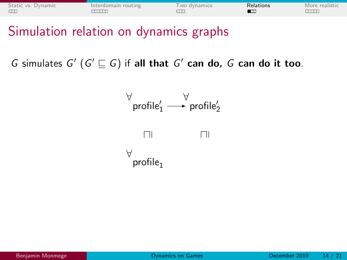<span id="page-27-0"></span>

| Static vs. Dynamic | Interdomain routing | wo dynamics | Relations | More realistic |
|--------------------|---------------------|-------------|-----------|----------------|
| $\Box$             |                     |             |           |                |

Simulation relation on dynamics graphs

G simulates  $G'$   $(G' \sqsubseteq G)$  if all that  $G'$  can do, G can do it too.

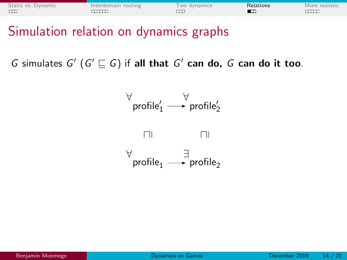| Static vs. Dynamic | Interdomain routing | wo dynamics | Relations | More realistic |
|--------------------|---------------------|-------------|-----------|----------------|
|                    |                     |             |           |                |

Simulation relation on dynamics graphs

G simulates  $G'$   $(G' \sqsubseteq G)$  if all that  $G'$  can do, G can do it too.

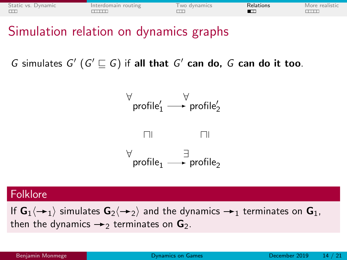| Static vs. Dynamic | Interdomain routing | wo dynamics | Relations | More realistic |
|--------------------|---------------------|-------------|-----------|----------------|
| $\Box$             |                     |             |           |                |

Simulation relation on dynamics graphs

G simulates  $G'$   $(G' \sqsubseteq G)$  if all that  $G'$  can do, G can do it too.



#### Folklore

If  $G_1\langle \rightarrow_1 \rangle$  simulates  $G_2\langle \rightarrow_2 \rangle$  and the dynamics  $\rightarrow_1$  terminates on  $G_1$ , then the dynamics  $\rightarrow$  terminates on  $\mathbf{G}_2$ .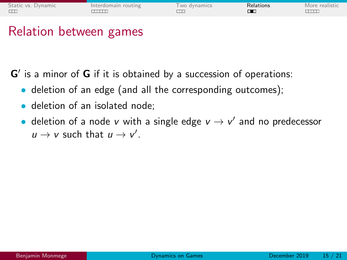| Relations<br>Interdomain routing<br>wo dynamics | Static vs. Dynamic |  |  |  | More realistic |
|-------------------------------------------------|--------------------|--|--|--|----------------|
|-------------------------------------------------|--------------------|--|--|--|----------------|

### Relation between games

 $G'$  is a minor of  $G$  if it is obtained by a succession of operations:

- deletion of an edge (and all the corresponding outcomes);
- deletion of an isolated node:
- deletion of a node v with a single edge  $v \rightarrow v'$  and no predecessor  $u \rightarrow v$  such that  $u \rightarrow v'$ .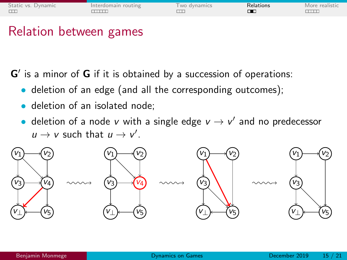| Static vs. Dynamic<br>Relations<br>Interdomain routing<br>wo dynamics<br>$\Box$ |  |  |  | More realistic |
|---------------------------------------------------------------------------------|--|--|--|----------------|
|---------------------------------------------------------------------------------|--|--|--|----------------|

### Relation between games

 $G'$  is a minor of  $G$  if it is obtained by a succession of operations:

- deletion of an edge (and all the corresponding outcomes);
- deletion of an isolated node:
- deletion of a node v with a single edge  $v \rightarrow v'$  and no predecessor  $u \rightarrow v$  such that  $u \rightarrow v'$ .

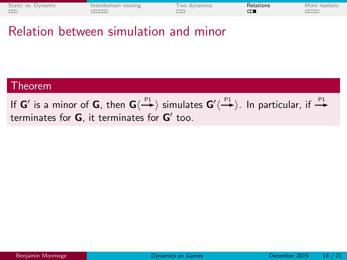| Static vs. Dynamic | Interdomain routing | wo dynamics | Relations | More realistic |
|--------------------|---------------------|-------------|-----------|----------------|
|                    |                     |             |           |                |

### Relation between simulation and minor

#### Theorem

If  $G'$  is a minor of  $G$ , then  $G\langle\stackrel{\mathsf{P1}}{\longrightarrow}\rangle$  simulates  $G'\langle\stackrel{\mathsf{P1}}{\longrightarrow}\rangle$ . In particular, if  $\stackrel{\mathsf{P1}}{\rightarrow}$ terminates for  $G$ , it terminates for  $G'$  too.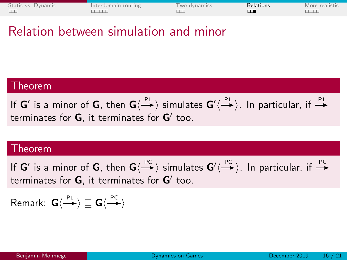| Static vs. Dynamic | Interdomain routing | Two dynamics | Relations | More realistic |
|--------------------|---------------------|--------------|-----------|----------------|
|                    |                     |              |           |                |

### Relation between simulation and minor

#### Theorem

If  $G'$  is a minor of  $G$ , then  $G\langle\stackrel{\mathsf{P1}}{\longrightarrow}\rangle$  simulates  $G'\langle\stackrel{\mathsf{P1}}{\longrightarrow}\rangle$ . In particular, if  $\stackrel{\mathsf{P1}}{\rightarrow}$ terminates for  $G$ , it terminates for  $G'$  too.

#### **Theorem**

If  $G'$  is a minor of  $G$ , then  $G\langle\stackrel{PC}{\longrightarrow}\rangle$  simulates  $G'\langle\stackrel{PC}{\longrightarrow}\rangle$ . In particular, if  $\stackrel{PC}{\longrightarrow}$ terminates for  $G$ , it terminates for  $G'$  too.

Remark:  $\mathsf{G}\langle \stackrel{\mathsf{P1}}{\to} \rangle \sqsubseteq \mathsf{G}\langle \stackrel{\mathsf{PC}}{\to} \rangle$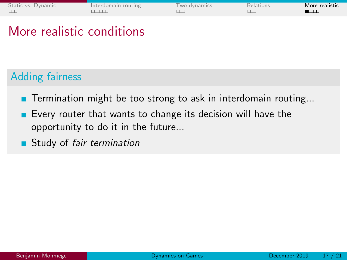<span id="page-34-0"></span>

| Static vs. Dynamic | Interdomain routing | wo dynamics | Relations | More realistic |
|--------------------|---------------------|-------------|-----------|----------------|
|                    |                     |             |           | <b>ALL THE</b> |

## More realistic conditions

### Adding fairness

- **T**ermination might be too strong to ask in interdomain routing...
- Every router that wants to change its decision will have the opportunity to do it in the future...
- **Study of fair termination**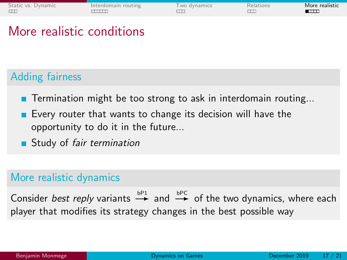| Static vs. Dynamic | Interdomain routing | wo dynamics | Relations | More realistic |
|--------------------|---------------------|-------------|-----------|----------------|
|                    |                     |             |           |                |

## More realistic conditions

### Adding fairness

- **T**ermination might be too strong to ask in interdomain routing...
- Every router that wants to change its decision will have the opportunity to do it in the future...
- **Study of fair termination**

### More realistic dynamics

Consider best reply variants  $\stackrel{bP1}{\rightarrow}$  and  $\stackrel{bPC}{\rightarrow}$  of the two dynamics, where each player that modifies its strategy changes in the best possible way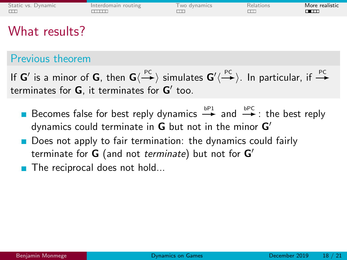| Static vs. Dynamic | Interdomain routing | wo dynamics | Relations | More realistic<br>┳ |
|--------------------|---------------------|-------------|-----------|---------------------|
|                    |                     |             |           |                     |

## What results?

### Previous theorem

If **G'** is a minor of **G**, then  $G\langle \stackrel{PC}{\longrightarrow} \rangle$  simulates  $G'\langle \stackrel{PC}{\longrightarrow} \rangle$ . In particular, if  $\stackrel{PC}{\longrightarrow}$ terminates for  $G$ , it terminates for  $G'$  too.

- Becomes false for best reply dynamics  $\stackrel{bP1}{\rightarrow}$  and  $\stackrel{bPC}{\rightarrow}$ : the best reply dynamics could terminate in  $G$  but not in the minor  $G'$
- **Does not apply to fair termination: the dynamics could fairly** terminate for **G** (and not *terminate*) but not for  $G'$
- The reciprocal does not hold...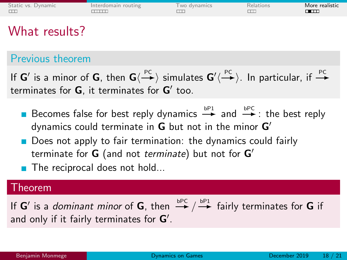| <b>ТПТ.</b> | Static vs. Dynamic | Interdomain routing | wo dynamics | Relations | More realistic |
|-------------|--------------------|---------------------|-------------|-----------|----------------|
|-------------|--------------------|---------------------|-------------|-----------|----------------|

## What results?

### Previous theorem

If **G'** is a minor of **G**, then  $G\langle \stackrel{PC}{\longrightarrow} \rangle$  simulates  $G'\langle \stackrel{PC}{\longrightarrow} \rangle$ . In particular, if  $\stackrel{PC}{\longrightarrow}$ terminates for  $G$ , it terminates for  $G'$  too.

- Becomes false for best reply dynamics  $\stackrel{bP1}{\rightarrow}$  and  $\stackrel{bPC}{\rightarrow}$ : the best reply dynamics could terminate in  $G$  but not in the minor  $G'$
- Does not apply to fair termination: the dynamics could fairly terminate for **G** (and not *terminate*) but not for  $G'$
- $\blacksquare$  The reciprocal does not hold...

#### Theorem

If  $G'$  is a *dominant minor* of  $G$ , then  $\stackrel{\text{bPC}}{\longrightarrow} / \stackrel{\text{bP1}}{\longrightarrow}$  fairly terminates for  $G$  if and only if it fairly terminates for  $G'$ .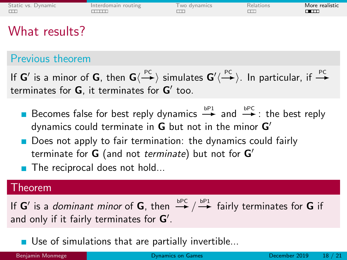| <b>ТПТ.</b> | Static vs. Dynamic | Interdomain routing | wo dynamics | Relations | More realistic |
|-------------|--------------------|---------------------|-------------|-----------|----------------|
|-------------|--------------------|---------------------|-------------|-----------|----------------|

## What results?

### Previous theorem

If **G'** is a minor of **G**, then  $G\langle \stackrel{PC}{\longrightarrow} \rangle$  simulates  $G'\langle \stackrel{PC}{\longrightarrow} \rangle$ . In particular, if  $\stackrel{PC}{\longrightarrow}$ terminates for  $G$ , it terminates for  $G'$  too.

- Becomes false for best reply dynamics  $\stackrel{bP1}{\rightarrow}$  and  $\stackrel{bPC}{\rightarrow}$ : the best reply dynamics could terminate in  $G$  but not in the minor  $G'$
- Does not apply to fair termination: the dynamics could fairly terminate for **G** (and not *terminate*) but not for  $G'$
- $\blacksquare$  The reciprocal does not hold...

#### Theorem

If  $G'$  is a *dominant minor* of  $G$ , then  $\stackrel{\text{bPC}}{\longrightarrow} / \stackrel{\text{bP1}}{\longrightarrow}$  fairly terminates for  $G$  if and only if it fairly terminates for  $G'$ .

Use of simulations that are partially invertible...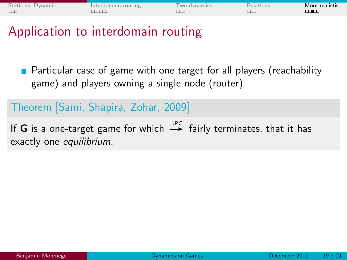| Interdomain routing<br>wo dynamics<br>Relations | Static vs. Dynamic |  |  |  | More realistic |
|-------------------------------------------------|--------------------|--|--|--|----------------|
|-------------------------------------------------|--------------------|--|--|--|----------------|

Application to interdomain routing

**Particular case of game with one target for all players (reachability** game) and players owning a single node (router)

### Theorem [Sami, Shapira, Zohar, 2009]

If G is a one-target game for which  $\stackrel{\text{bPC}}{\rightarrow}$  fairly terminates, that it has exactly one *equilibrium*.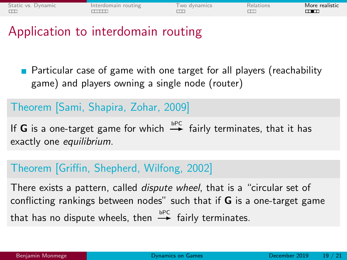| Interdomain routing<br>wo dynamics<br>Relations | Static vs. Dynamic |  |  |  | More realistic |
|-------------------------------------------------|--------------------|--|--|--|----------------|
|-------------------------------------------------|--------------------|--|--|--|----------------|

Application to interdomain routing

**Particular case of game with one target for all players (reachability** game) and players owning a single node (router)

### Theorem [Sami, Shapira, Zohar, 2009]

If G is a one-target game for which  $\stackrel{\text{bPC}}{\rightarrow}$  fairly terminates, that it has exactly one *equilibrium*.

### Theorem [Griffin, Shepherd, Wilfong, 2002]

There exists a pattern, called dispute wheel, that is a "circular set of conflicting rankings between nodes" such that if  $G$  is a one-target game that has no dispute wheels, then  $\stackrel{\text{bpc}}{\rightarrow}$  fairly terminates.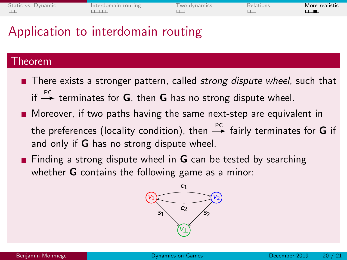| Static vs. Dynamic<br>Interdomain routing | wo dynamics | Relations | More realistic<br>╥┲ |
|-------------------------------------------|-------------|-----------|----------------------|
|-------------------------------------------|-------------|-----------|----------------------|

## Application to interdomain routing

#### Theorem

- There exists a stronger pattern, called *strong dispute wheel*, such that if  $\stackrel{PC}{\rightarrow}$  terminates for **G**, then **G** has no strong dispute wheel.
- **Moreover, if two paths having the same next-step are equivalent in** the preferences (locality condition), then  $\stackrel{PC}{\rightarrow}$  fairly terminates for **G** if and only if **G** has no strong dispute wheel.
- **Finding a strong dispute wheel in G** can be tested by searching whether **G** contains the following game as a minor:

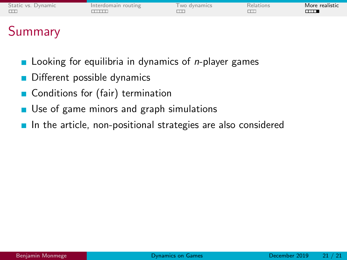| Static vs. Dynamic | Interdomain routing | wo dynamics | <i><b>Relations</b></i> | More realistic |
|--------------------|---------------------|-------------|-------------------------|----------------|
|                    |                     |             |                         |                |

# Summary

- Looking for equilibria in dynamics of n-player games
- Different possible dynamics
- Conditions for (fair) termination
- Use of game minors and graph simulations  $\blacksquare$
- In the article, non-positional strategies are also considered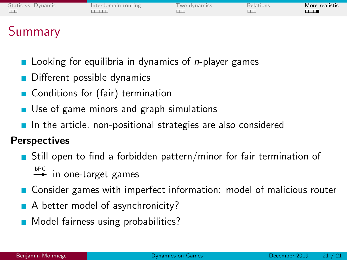| Static vs. Dynamic | Interdomain routing | wo dynamics | <i><b>Relations</b></i> | More realistic<br><b>TITT</b> |
|--------------------|---------------------|-------------|-------------------------|-------------------------------|
|                    |                     |             |                         |                               |

# Summary

- Looking for equilibria in dynamics of n-player games
- Different possible dynamics
- Conditions for (fair) termination
- Use of game minors and graph simulations
- $\blacksquare$  In the article, non-positional strategies are also considered

### **Perspectives**

- **Still open to find a forbidden pattern/minor for fair termination of**  $b^{PCC}$  in one-target games
	-
- **Consider games with imperfect information: model of malicious router**
- A better model of asynchronicity?
- Model fairness using probabilities?